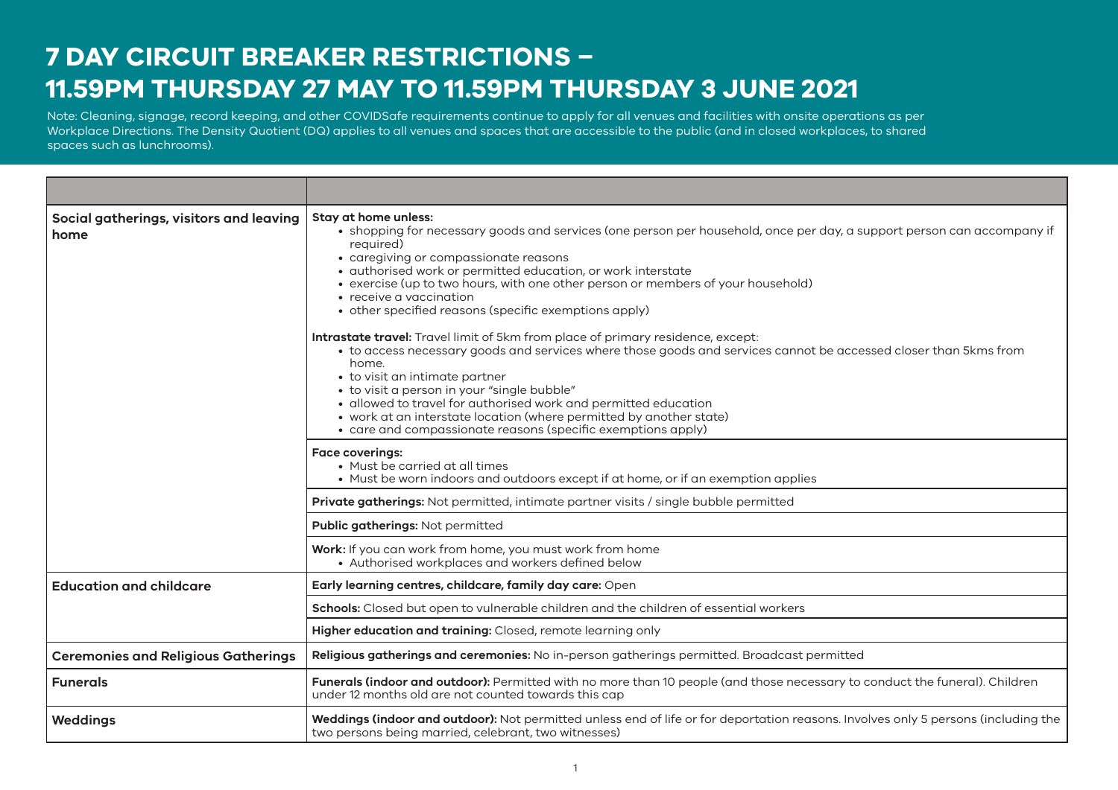## **7 DAY CIRCUIT BREAKER RESTRICTIONS – 11.59PM THURSDAY 27 MAY TO 11.59PM THURSDAY 3 JUNE 2021**

Note: Cleaning, signage and record keeping requirements and other COVIDSafe requirements continue to apply for many venues and facilities. A density quotient applies to all Note: Cleaning, signage, record keeping, and other COVIDSafe requirements continue to apply for all venues and facilities with onsite operations as per and the stations of the station of the station of the station of the s Workplace Directions. The Density Quotient (DQ) applies to all venues and spaces that are accessible to the public (and in closed workplaces, to shared spaces such as lunchrooms).

| Social gatherings, visitors and leaving<br>home | Stay at home unless:<br>• shopping for necessary goods and services (one person per household, once per day, a support person can accompany if<br>required)<br>• caregiving or compassionate reasons<br>· authorised work or permitted education, or work interstate<br>• exercise (up to two hours, with one other person or members of your household)<br>• receive a vaccination<br>• other specified reasons (specific exemptions apply)<br><b>Intrastate travel:</b> Travel limit of 5km from place of primary residence, except:<br>• to access necessary goods and services where those goods and services cannot be accessed closer than 5kms from<br>home.<br>• to visit an intimate partner<br>• to visit a person in your "single bubble"<br>· allowed to travel for authorised work and permitted education<br>• work at an interstate location (where permitted by another state)<br>• care and compassionate reasons (specific exemptions apply) |
|-------------------------------------------------|----------------------------------------------------------------------------------------------------------------------------------------------------------------------------------------------------------------------------------------------------------------------------------------------------------------------------------------------------------------------------------------------------------------------------------------------------------------------------------------------------------------------------------------------------------------------------------------------------------------------------------------------------------------------------------------------------------------------------------------------------------------------------------------------------------------------------------------------------------------------------------------------------------------------------------------------------------------|
|                                                 | <b>Face coverings:</b><br>• Must be carried at all times<br>• Must be worn indoors and outdoors except if at home, or if an exemption applies                                                                                                                                                                                                                                                                                                                                                                                                                                                                                                                                                                                                                                                                                                                                                                                                                  |
|                                                 | Private gatherings: Not permitted, intimate partner visits / single bubble permitted                                                                                                                                                                                                                                                                                                                                                                                                                                                                                                                                                                                                                                                                                                                                                                                                                                                                           |
|                                                 | Public gatherings: Not permitted                                                                                                                                                                                                                                                                                                                                                                                                                                                                                                                                                                                                                                                                                                                                                                                                                                                                                                                               |
|                                                 | Work: If you can work from home, you must work from home<br>• Authorised workplaces and workers defined below                                                                                                                                                                                                                                                                                                                                                                                                                                                                                                                                                                                                                                                                                                                                                                                                                                                  |
| <b>Education and childcare</b>                  | Early learning centres, childcare, family day care: Open                                                                                                                                                                                                                                                                                                                                                                                                                                                                                                                                                                                                                                                                                                                                                                                                                                                                                                       |
|                                                 | Schools: Closed but open to vulnerable children and the children of essential workers                                                                                                                                                                                                                                                                                                                                                                                                                                                                                                                                                                                                                                                                                                                                                                                                                                                                          |
|                                                 | Higher education and training: Closed, remote learning only                                                                                                                                                                                                                                                                                                                                                                                                                                                                                                                                                                                                                                                                                                                                                                                                                                                                                                    |
| <b>Ceremonies and Religious Gatherings</b>      | Religious gatherings and ceremonies: No in-person gatherings permitted. Broadcast permitted                                                                                                                                                                                                                                                                                                                                                                                                                                                                                                                                                                                                                                                                                                                                                                                                                                                                    |
| <b>Funerals</b>                                 | Funerals (indoor and outdoor): Permitted with no more than 10 people (and those necessary to conduct the funeral). Children<br>under 12 months old are not counted towards this cap                                                                                                                                                                                                                                                                                                                                                                                                                                                                                                                                                                                                                                                                                                                                                                            |
| Weddings                                        | Weddings (indoor and outdoor): Not permitted unless end of life or for deportation reasons. Involves only 5 persons (including the<br>two persons being married, celebrant, two witnesses)                                                                                                                                                                                                                                                                                                                                                                                                                                                                                                                                                                                                                                                                                                                                                                     |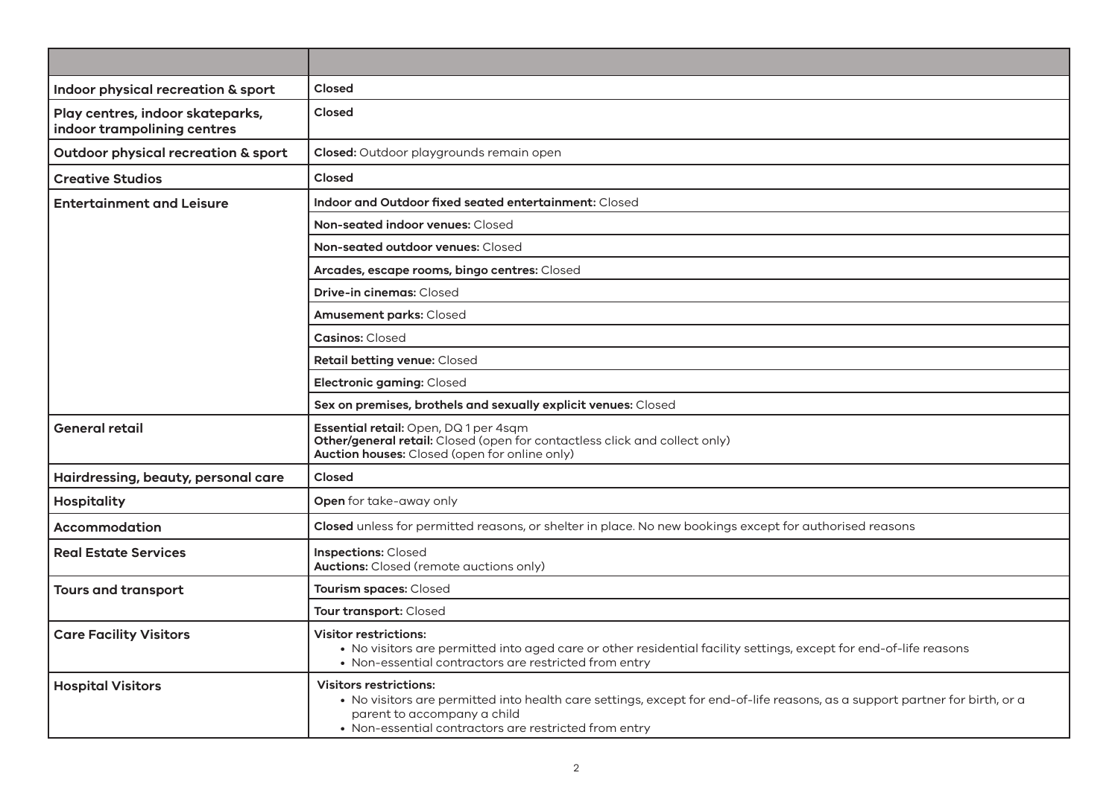| Indoor physical recreation & sport                              | Closed                                                                                                                                                                                                                                               |
|-----------------------------------------------------------------|------------------------------------------------------------------------------------------------------------------------------------------------------------------------------------------------------------------------------------------------------|
| Play centres, indoor skateparks,<br>indoor trampolining centres | <b>Closed</b>                                                                                                                                                                                                                                        |
| Outdoor physical recreation & sport                             | Closed: Outdoor playgrounds remain open                                                                                                                                                                                                              |
| <b>Creative Studios</b>                                         | Closed                                                                                                                                                                                                                                               |
| <b>Entertainment and Leisure</b>                                | Indoor and Outdoor fixed seated entertainment: Closed                                                                                                                                                                                                |
|                                                                 | Non-seated indoor venues: Closed                                                                                                                                                                                                                     |
|                                                                 | Non-seated outdoor venues: Closed                                                                                                                                                                                                                    |
|                                                                 | Arcades, escape rooms, bingo centres: Closed                                                                                                                                                                                                         |
|                                                                 | <b>Drive-in cinemas: Closed</b>                                                                                                                                                                                                                      |
|                                                                 | <b>Amusement parks: Closed</b>                                                                                                                                                                                                                       |
|                                                                 | <b>Casinos: Closed</b>                                                                                                                                                                                                                               |
|                                                                 | Retail betting venue: Closed                                                                                                                                                                                                                         |
|                                                                 | Electronic gaming: Closed                                                                                                                                                                                                                            |
|                                                                 | Sex on premises, brothels and sexually explicit venues: Closed                                                                                                                                                                                       |
| <b>General retail</b>                                           | <b>Essential retail:</b> Open, DQ 1 per 4sqm<br>Other/general retail: Closed (open for contactless click and collect only)<br>Auction houses: Closed (open for online only)                                                                          |
| Hairdressing, beauty, personal care                             | Closed                                                                                                                                                                                                                                               |
| <b>Hospitality</b>                                              | Open for take-away only                                                                                                                                                                                                                              |
| Accommodation                                                   | Closed unless for permitted reasons, or shelter in place. No new bookings except for authorised reasons                                                                                                                                              |
| <b>Real Estate Services</b>                                     | <b>Inspections: Closed</b><br><b>Auctions:</b> Closed (remote auctions only)                                                                                                                                                                         |
| <b>Tours and transport</b>                                      | Tourism spaces: Closed                                                                                                                                                                                                                               |
|                                                                 | Tour transport: Closed                                                                                                                                                                                                                               |
| <b>Care Facility Visitors</b>                                   | <b>Visitor restrictions:</b><br>• No visitors are permitted into aged care or other residential facility settings, except for end-of-life reasons<br>• Non-essential contractors are restricted from entry                                           |
| <b>Hospital Visitors</b>                                        | <b>Visitors restrictions:</b><br>. No visitors are permitted into health care settings, except for end-of-life reasons, as a support partner for birth, or a<br>parent to accompany a child<br>• Non-essential contractors are restricted from entry |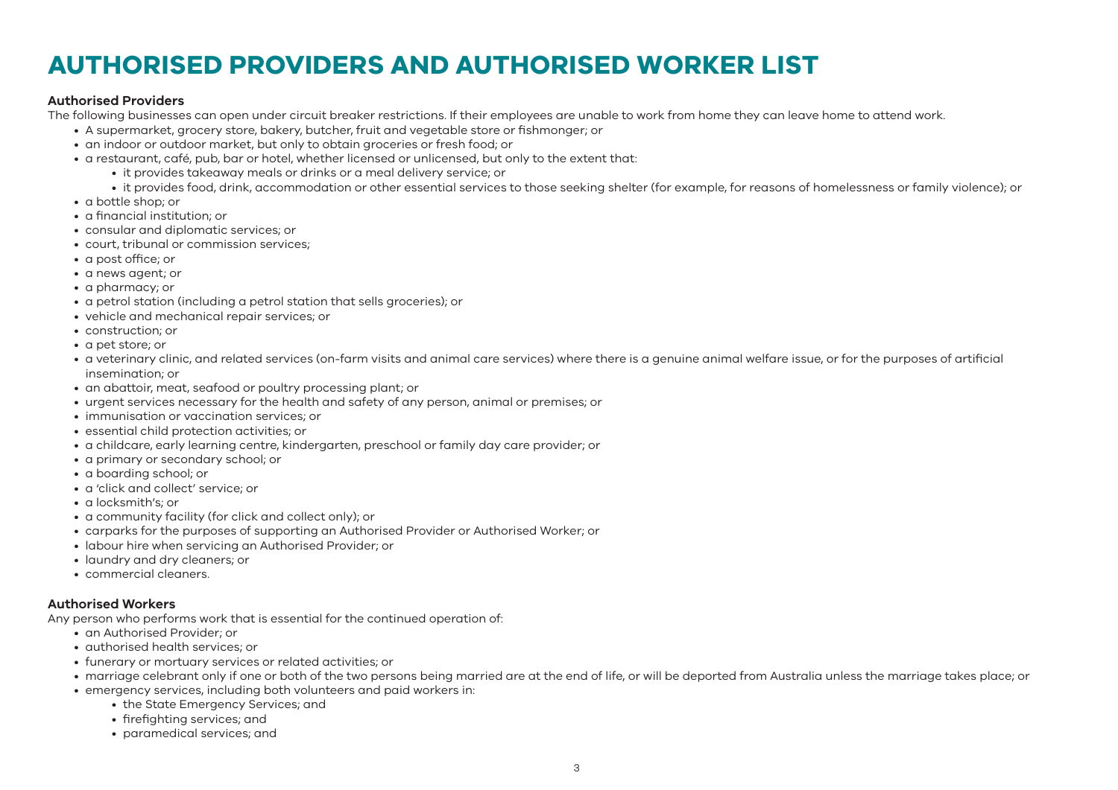# **AUTHORISED PROVIDERS AND AUTHORISED WORKER LIST**

#### **Authorised Providers**

The following businesses can open under circuit breaker restrictions. If their employees are unable to work from home they can leave home to attend work.

- A supermarket, grocery store, bakery, butcher, fruit and vegetable store or fishmonger; or
- an indoor or outdoor market, but only to obtain groceries or fresh food; or
- a restaurant, café, pub, bar or hotel, whether licensed or unlicensed, but only to the extent that:
	- it provides takeaway meals or drinks or a meal delivery service; or
	- it provides food, drink, accommodation or other essential services to those seeking shelter (for example, for reasons of homelessness or family violence); or
- a bottle shop; or
- a financial institution; or
- consular and diplomatic services; or
- court, tribunal or commission services;
- a post office; or
- a news agent; or
- a pharmacy; or
- a petrol station (including a petrol station that sells groceries); or
- vehicle and mechanical repair services; or
- construction; or
- a pet store; or
- a veterinary clinic, and related services (on-farm visits and animal care services) where there is a genuine animal welfare issue, or for the purposes of artificial insemination; or
- an abattoir, meat, seafood or poultry processing plant; or
- urgent services necessary for the health and safety of any person, animal or premises; or
- immunisation or vaccination services; or
- essential child protection activities; or
- a childcare, early learning centre, kindergarten, preschool or family day care provider; or
- a primary or secondary school; or
- a boarding school; or
- a 'click and collect' service; or
- a locksmith's; or
- a community facility (for click and collect only); or
- carparks for the purposes of supporting an Authorised Provider or Authorised Worker; or
- labour hire when servicing an Authorised Provider; or
- laundry and dry cleaners; or
- commercial cleaners.

## **Authorised Workers**

Any person who performs work that is essential for the continued operation of:

- an Authorised Provider; or
- authorised health services; or
- funerary or mortuary services or related activities; or
- marriage celebrant only if one or both of the two persons being married are at the end of life, or will be deported from Australia unless the marriage takes place; or
- emergency services, including both volunteers and paid workers in:
	- the State Emergency Services; and
	- firefighting services; and
	- paramedical services; and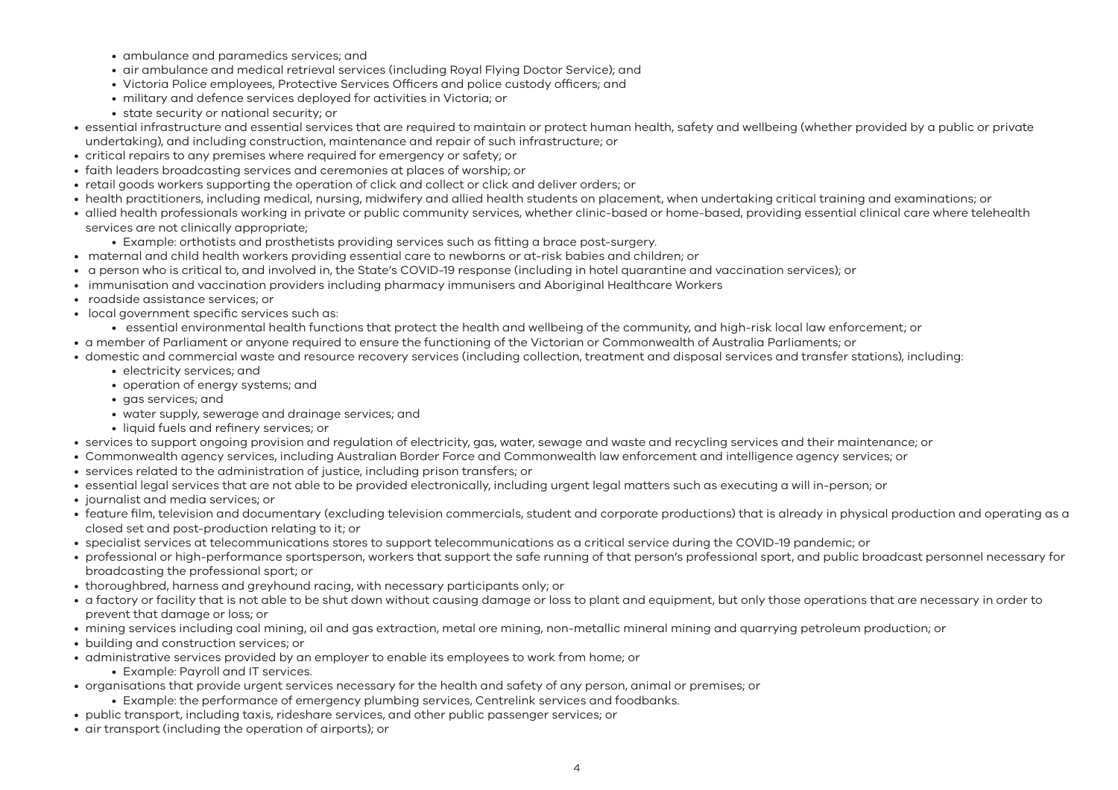- ambulance and paramedics services; and
- air ambulance and medical retrieval services (including Royal Flying Doctor Service); and
- Victoria Police employees, Protective Services Officers and police custody officers; and
- military and defence services deployed for activities in Victoria; or
- state security or national security; or
- essential infrastructure and essential services that are required to maintain or protect human health, safety and wellbeing (whether provided by a public or private undertaking), and including construction, maintenance and repair of such infrastructure; or
- critical repairs to any premises where required for emergency or safety; or
- faith leaders broadcasting services and ceremonies at places of worship; or
- retail goods workers supporting the operation of click and collect or click and deliver orders; or
- health practitioners, including medical, nursing, midwifery and allied health students on placement, when undertaking critical training and examinations; or
- allied health professionals working in private or public community services, whether clinic-based or home-based, providing essential clinical care where telehealth services are not clinically appropriate;
	- Example: orthotists and prosthetists providing services such as fitting a brace post-surgery.
- maternal and child health workers providing essential care to newborns or at-risk babies and children; or
- a person who is critical to, and involved in, the State's COVID-19 response (including in hotel quarantine and vaccination services); or
- immunisation and vaccination providers including pharmacy immunisers and Aboriginal Healthcare Workers
- roadside assistance services; or
- local government specific services such as:
	- essential environmental health functions that protect the health and wellbeing of the community, and high-risk local law enforcement; or
- a member of Parliament or anyone required to ensure the functioning of the Victorian or Commonwealth of Australia Parliaments; or
- domestic and commercial waste and resource recovery services (including collection, treatment and disposal services and transfer stations), including:
	- electricity services; and
	- operation of energy systems; and
	- gas services; and
	- water supply, sewerage and drainage services; and
	- liquid fuels and refinery services; or
- services to support ongoing provision and regulation of electricity, gas, water, sewage and waste and recycling services and their maintenance; or
- Commonwealth agency services, including Australian Border Force and Commonwealth law enforcement and intelligence agency services; or
- services related to the administration of justice, including prison transfers; or
- essential legal services that are not able to be provided electronically, including urgent legal matters such as executing a will in-person; or
- journalist and media services; or
- feature film, television and documentary (excluding television commercials, student and corporate productions) that is already in physical production and operating as a closed set and post-production relating to it; or
- specialist services at telecommunications stores to support telecommunications as a critical service during the COVID-19 pandemic; or
- professional or high-performance sportsperson, workers that support the safe running of that person's professional sport, and public broadcast personnel necessary for broadcasting the professional sport; or
- thoroughbred, harness and greyhound racing, with necessary participants only; or
- a factory or facility that is not able to be shut down without causing damage or loss to plant and equipment, but only those operations that are necessary in order to prevent that damage or loss; or
- mining services including coal mining, oil and gas extraction, metal ore mining, non-metallic mineral mining and quarrying petroleum production; or
- building and construction services; or
- administrative services provided by an employer to enable its employees to work from home; or
	- Example: Payroll and IT services.
- organisations that provide urgent services necessary for the health and safety of any person, animal or premises; or
	- Example: the performance of emergency plumbing services, Centrelink services and foodbanks.
- public transport, including taxis, rideshare services, and other public passenger services; or
- air transport (including the operation of airports); or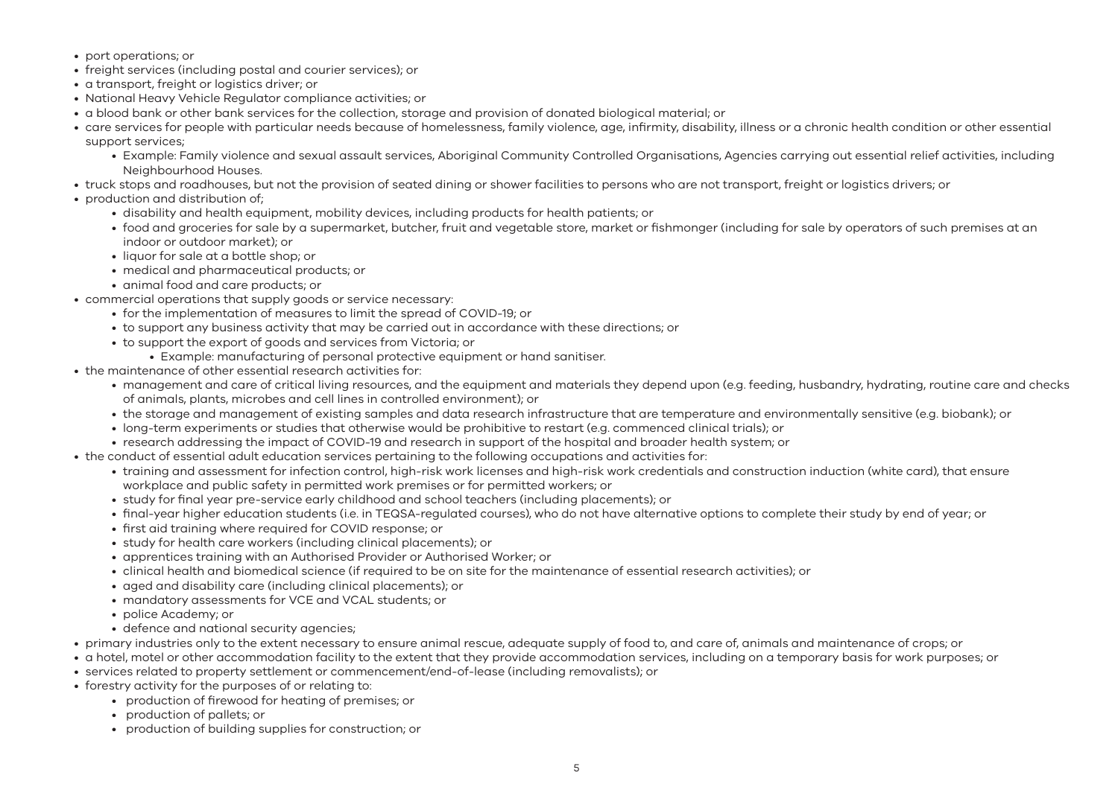- port operations; or
- freight services (including postal and courier services); or
- a transport, freight or logistics driver; or
- National Heavy Vehicle Regulator compliance activities; or
- a blood bank or other bank services for the collection, storage and provision of donated biological material; or
- care services for people with particular needs because of homelessness, family violence, age, infirmity, disability, illness or a chronic health condition or other essential support services;
	- Example: Family violence and sexual assault services, Aboriginal Community Controlled Organisations, Agencies carrying out essential relief activities, including Neighbourhood Houses.
- truck stops and roadhouses, but not the provision of seated dining or shower facilities to persons who are not transport, freight or logistics drivers; or
- production and distribution of;
	- disability and health equipment, mobility devices, including products for health patients; or
	- food and groceries for sale by a supermarket, butcher, fruit and vegetable store, market or fishmonger (including for sale by operators of such premises at an indoor or outdoor market); or
	- liquor for sale at a bottle shop; or
	- medical and pharmaceutical products; or
	- animal food and care products; or
- commercial operations that supply goods or service necessary:
	- for the implementation of measures to limit the spread of COVID-19; or
	- to support any business activity that may be carried out in accordance with these directions; or
	- to support the export of goods and services from Victoria; or
		- Example: manufacturing of personal protective equipment or hand sanitiser.
- the maintenance of other essential research activities for:
	- management and care of critical living resources, and the equipment and materials they depend upon (e.g. feeding, husbandry, hydrating, routine care and checks of animals, plants, microbes and cell lines in controlled environment); or
	- the storage and management of existing samples and data research infrastructure that are temperature and environmentally sensitive (e.g. biobank); or
	- long-term experiments or studies that otherwise would be prohibitive to restart (e.g. commenced clinical trials); or
	- research addressing the impact of COVID-19 and research in support of the hospital and broader health system; or
- the conduct of essential adult education services pertaining to the following occupations and activities for:
	- training and assessment for infection control, high-risk work licenses and high-risk work credentials and construction induction (white card), that ensure workplace and public safety in permitted work premises or for permitted workers; or
	- study for final year pre-service early childhood and school teachers (including placements); or
	- final-year higher education students (i.e. in TEQSA-regulated courses), who do not have alternative options to complete their study by end of year; or
	- first aid training where required for COVID response; or
	- study for health care workers (including clinical placements); or
	- apprentices training with an Authorised Provider or Authorised Worker; or
	- clinical health and biomedical science (if required to be on site for the maintenance of essential research activities); or
	- aged and disability care (including clinical placements); or
	- mandatory assessments for VCE and VCAL students; or
	- police Academy; or
	- defence and national security agencies;
- primary industries only to the extent necessary to ensure animal rescue, adequate supply of food to, and care of, animals and maintenance of crops; or
- a hotel, motel or other accommodation facility to the extent that they provide accommodation services, including on a temporary basis for work purposes; or
- services related to property settlement or commencement/end-of-lease (including removalists); or
- forestry activity for the purposes of or relating to:
	- production of firewood for heating of premises; or
	- production of pallets; or
	- production of building supplies for construction; or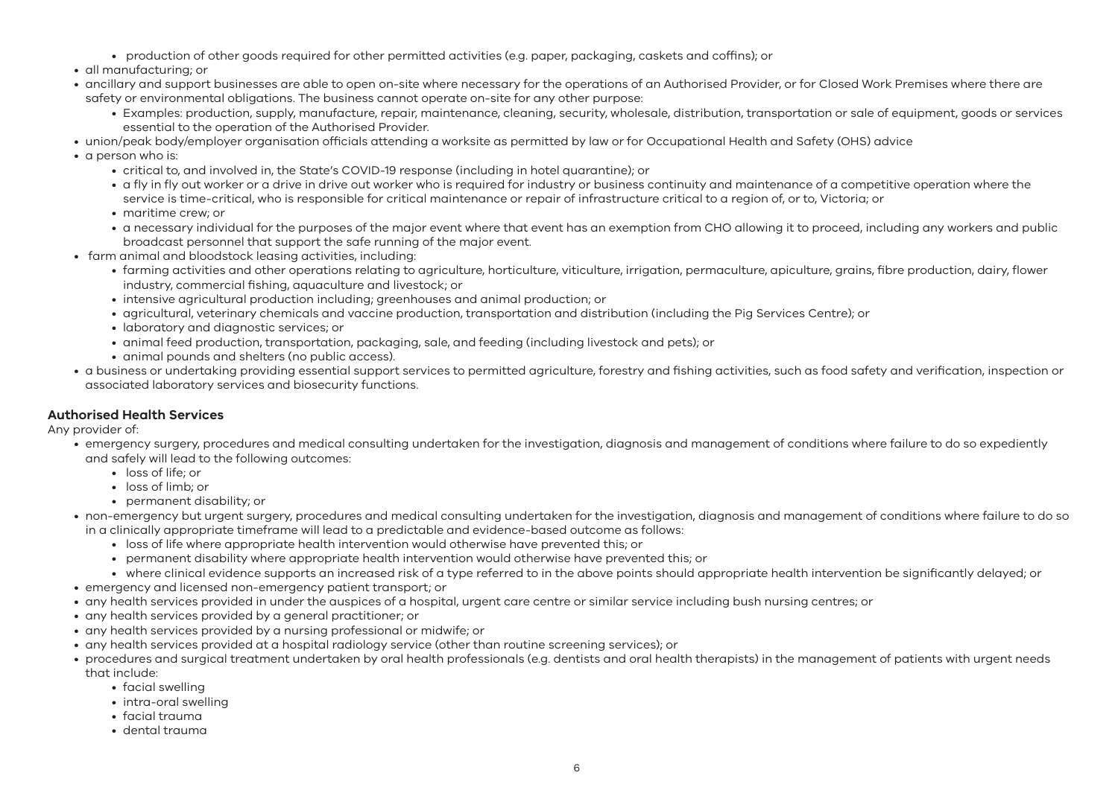- production of other goods required for other permitted activities (e.g. paper, packaging, caskets and coffins); or
- all manufacturing; or
- ancillary and support businesses are able to open on-site where necessary for the operations of an Authorised Provider, or for Closed Work Premises where there are safety or environmental obligations. The business cannot operate on-site for any other purpose:
	- Examples: production, supply, manufacture, repair, maintenance, cleaning, security, wholesale, distribution, transportation or sale of equipment, goods or services essential to the operation of the Authorised Provider.
- union/peak body/employer organisation officials attending a worksite as permitted by law or for Occupational Health and Safety (OHS) advice
- a person who is:
	- critical to, and involved in, the State's COVID-19 response (including in hotel quarantine); or
	- a fly in fly out worker or a drive in drive out worker who is required for industry or business continuity and maintenance of a competitive operation where the service is time-critical, who is responsible for critical maintenance or repair of infrastructure critical to a region of, or to, Victoria; or
	- maritime crew; or
	- a necessary individual for the purposes of the major event where that event has an exemption from CHO allowing it to proceed, including any workers and public broadcast personnel that support the safe running of the major event.
- farm animal and bloodstock leasing activities, including:
	- farming activities and other operations relating to agriculture, horticulture, viticulture, irrigation, permaculture, apiculture, grains, fibre production, dairy, flower industry, commercial fishing, aquaculture and livestock; or
	- intensive agricultural production including; greenhouses and animal production; or
	- agricultural, veterinary chemicals and vaccine production, transportation and distribution (including the Pig Services Centre); or
	- laboratory and diagnostic services; or
	- animal feed production, transportation, packaging, sale, and feeding (including livestock and pets); or
	- animal pounds and shelters (no public access).
- a business or undertaking providing essential support services to permitted agriculture, forestry and fishing activities, such as food safety and verification, inspection or associated laboratory services and biosecurity functions.

## **Authorised Health Services**

Any provider of:

- emergency surgery, procedures and medical consulting undertaken for the investigation, diagnosis and management of conditions where failure to do so expediently and safely will lead to the following outcomes:
	- loss of life; or
	- loss of limb; or
	- permanent disability; or
- non-emergency but urgent surgery, procedures and medical consulting undertaken for the investigation, diagnosis and management of conditions where failure to do so in a clinically appropriate timeframe will lead to a predictable and evidence-based outcome as follows:
	- loss of life where appropriate health intervention would otherwise have prevented this; or
	- permanent disability where appropriate health intervention would otherwise have prevented this; or
	- where clinical evidence supports an increased risk of a type referred to in the above points should appropriate health intervention be significantly delayed; or
- emergency and licensed non-emergency patient transport; or
- any health services provided in under the auspices of a hospital, urgent care centre or similar service including bush nursing centres; or
- any health services provided by a general practitioner; or
- any health services provided by a nursing professional or midwife; or
- any health services provided at a hospital radiology service (other than routine screening services); or
- procedures and surgical treatment undertaken by oral health professionals (e.g. dentists and oral health therapists) in the management of patients with urgent needs that include:
	- facial swelling
	- intra-oral swelling
	- facial trauma
	- dental trauma